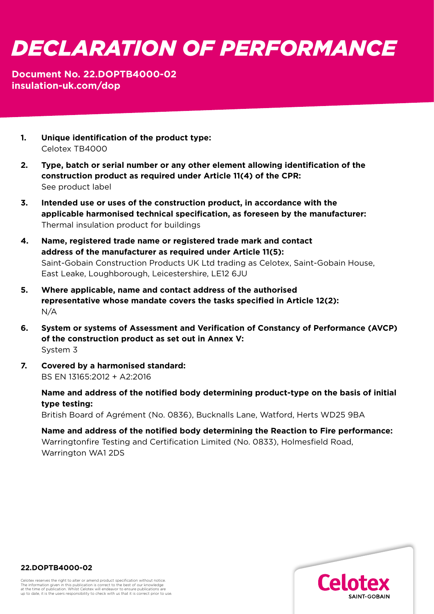## *DECLARATION OF PERFORMANCE*

## **Document No. 22.DOPTB4000-02 [insulation-uk.com/dop](https://insulation-uk.com/technical-services/resources/ce-marking)**

- **1. Unique identification of the product type:**  Celotex TB4000
- **2. Type, batch or serial number or any other element allowing identification of the construction product as required under Article 11(4) of the CPR:** See product label
- **3. Intended use or uses of the construction product, in accordance with the applicable harmonised technical specification, as foreseen by the manufacturer:**  Thermal insulation product for buildings
- **4. Name, registered trade name or registered trade mark and contact address of the manufacturer as required under Article 11(5):**  Saint-Gobain Construction Products UK Ltd trading as Celotex, Saint-Gobain House, East Leake, Loughborough, Leicestershire, LE12 6JU
- **5. Where applicable, name and contact address of the authorised representative whose mandate covers the tasks specified in Article 12(2):**  N/A
- **6. System or systems of Assessment and Verification of Constancy of Performance (AVCP) of the construction product as set out in Annex V:**  System 3
- **7. Covered by a harmonised standard:**  BS EN 13165:2012 + A2:2016

 **Name and address of the notified body determining product-type on the basis of initial type testing:**

British Board of Agrément (No. 0836), Bucknalls Lane, Watford, Herts WD25 9BA

 **Name and address of the notified body determining the Reaction to Fire performance:** Warringtonfire Testing and Certification Limited (No. 0833), Holmesfield Road, Warrington WA1 2DS



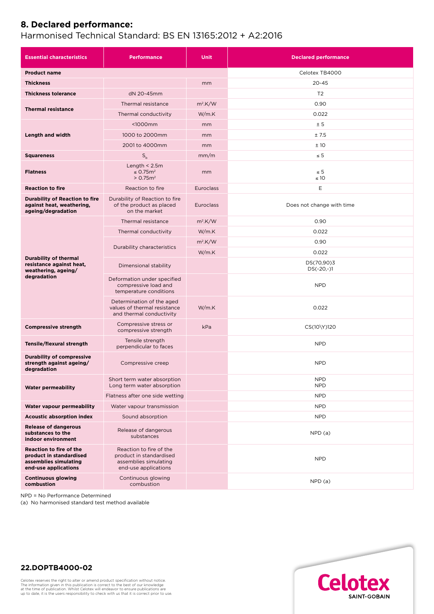## **8. Declared performance:**

## Harmonised Technical Standard: BS EN 13165:2012 + A2:2016

| <b>Essential characteristics</b>                                                                           | <b>Performance</b>                                                                                  | <b>Unit</b>      | <b>Declared performance</b> |
|------------------------------------------------------------------------------------------------------------|-----------------------------------------------------------------------------------------------------|------------------|-----------------------------|
| <b>Product name</b>                                                                                        |                                                                                                     |                  | Celotex TB4000              |
| <b>Thickness</b>                                                                                           |                                                                                                     | mm               | $20 - 45$                   |
| <b>Thickness tolerance</b>                                                                                 | dN 20-45mm                                                                                          |                  | T <sub>2</sub>              |
| <b>Thermal resistance</b>                                                                                  | Thermal resistance                                                                                  | $m^2$ .K/W       | 0.90                        |
|                                                                                                            | Thermal conductivity                                                                                | W/m.K            | 0.022                       |
| Length and width                                                                                           | $1000mm$                                                                                            | mm               | ± 5                         |
|                                                                                                            | 1000 to 2000mm                                                                                      | mm               | ±7.5                        |
|                                                                                                            | 2001 to 4000mm                                                                                      | mm               | ±10                         |
| <b>Squareness</b>                                                                                          | $S_h$                                                                                               | mm/m             | $\leq 5$                    |
| <b>Flatness</b>                                                                                            | Length $<$ 2.5m<br>$\leq$ 0.75 $m2$<br>> 0.75 m <sup>2</sup>                                        | mm               | $\leq 5$<br>$\leq 10$       |
| <b>Reaction to fire</b>                                                                                    | Reaction to fire                                                                                    | <b>Euroclass</b> | Ε                           |
| <b>Durability of Reaction to fire</b><br>against heat, weathering,<br>ageing/degradation                   | Durability of Reaction to fire<br>of the product as placed<br>on the market                         | <b>Euroclass</b> | Does not change with time   |
| <b>Durability of thermal</b><br>resistance against heat,<br>weathering, ageing/<br>degradation             | Thermal resistance                                                                                  | $m2$ .K/W        | 0.90                        |
|                                                                                                            | Thermal conductivity                                                                                | W/m.K            | 0.022                       |
|                                                                                                            | Durability characteristics                                                                          | $m^2$ .K/W       | 0.90                        |
|                                                                                                            |                                                                                                     | W/m.K            | 0.022                       |
|                                                                                                            | Dimensional stability                                                                               |                  | DS(70,90)3<br>$DS(-20,-)1$  |
|                                                                                                            | Deformation under specified<br>compressive load and<br>temperature conditions                       |                  | <b>NPD</b>                  |
|                                                                                                            | Determination of the aged<br>values of thermal resistance<br>and thermal conductivity               | W/m.K            | 0.022                       |
| <b>Compressive strength</b>                                                                                | Compressive stress or<br>compressive strength                                                       | kPa              | CS(10\Y)120                 |
| Tensile/flexural strength                                                                                  | Tensile strength<br>perpendicular to faces                                                          |                  | <b>NPD</b>                  |
| <b>Durability of compressive</b><br>strength against ageing/<br>degradation                                | Compressive creep                                                                                   |                  | <b>NPD</b>                  |
| <b>Water permeability</b>                                                                                  | Short term water absorption<br>Long term water absorption                                           |                  | <b>NPD</b><br><b>NPD</b>    |
|                                                                                                            | Flatness after one side wetting                                                                     |                  | <b>NPD</b>                  |
| Water vapour permeability                                                                                  | Water vapour transmission                                                                           |                  | <b>NPD</b>                  |
| <b>Acoustic absorption index</b>                                                                           | Sound absorption                                                                                    |                  | <b>NPD</b>                  |
| <b>Release of dangerous</b><br>substances to the<br>indoor environment                                     | Release of dangerous<br>substances                                                                  |                  | NPD(a)                      |
| <b>Reaction to fire of the</b><br>product in standardised<br>assemblies simulating<br>end-use applications | Reaction to fire of the<br>product in standardised<br>assemblies simulating<br>end-use applications |                  | <b>NPD</b>                  |
| <b>Continuous glowing</b><br>combustion                                                                    | Continuous glowing<br>combustion                                                                    |                  | NPD(a)                      |

NPD = No Performance Determined

(a) No harmonised standard test method available



**22.DOPTB4000-02**